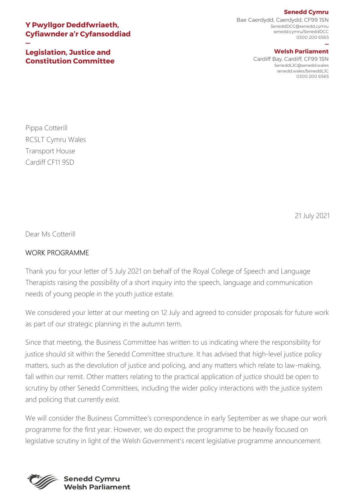## **Senedd Cymru**

## **Y Pwyllgor Deddfwriaeth, Cyfiawnder a'r Cyfansoddiad**

**Legislation, Justice and Constitution Committee**

**—**

Bae Caerdydd, Caerdydd, CF99 1SN SeneddDCC@senedd.cymru senedd.cymru/SeneddDCC 0300 200 6565

## **— Welsh Parliament**

Cardiff Bay, Cardiff, CF99 1SN SeneddLJC@senedd.wales senedd.wales/SeneddLJC 0300 200 6565

Pippa Cotterill RCSLT Cymru Wales Transport House Cardiff CF11 9SD

21 July 2021

Dear Ms Cotterill

## WORK PROGRAMME

Thank you for your letter of 5 July 2021 on behalf of the Royal College of Speech and Language Therapists raising the possibility of a short inquiry into the speech, language and communication needs of young people in the youth justice estate.

We considered your letter at our meeting on 12 July and agreed to consider proposals for future work as part of our strategic planning in the autumn term.

Since that meeting, the Business Committee has written to us indicating where the responsibility for justice should sit within the Senedd Committee structure. It has advised that high-level justice policy matters, such as the devolution of justice and policing, and any matters which relate to law-making, fall within our remit. Other matters relating to the practical application of justice should be open to scrutiny by other Senedd Committees, including the wider policy interactions with the justice system and policing that currently exist.

We will consider the Business Committee's correspondence in early September as we shape our work programme for the first year. However, we do expect the programme to be heavily focused on legislative scrutiny in light of the Welsh Government's recent legislative programme announcement.